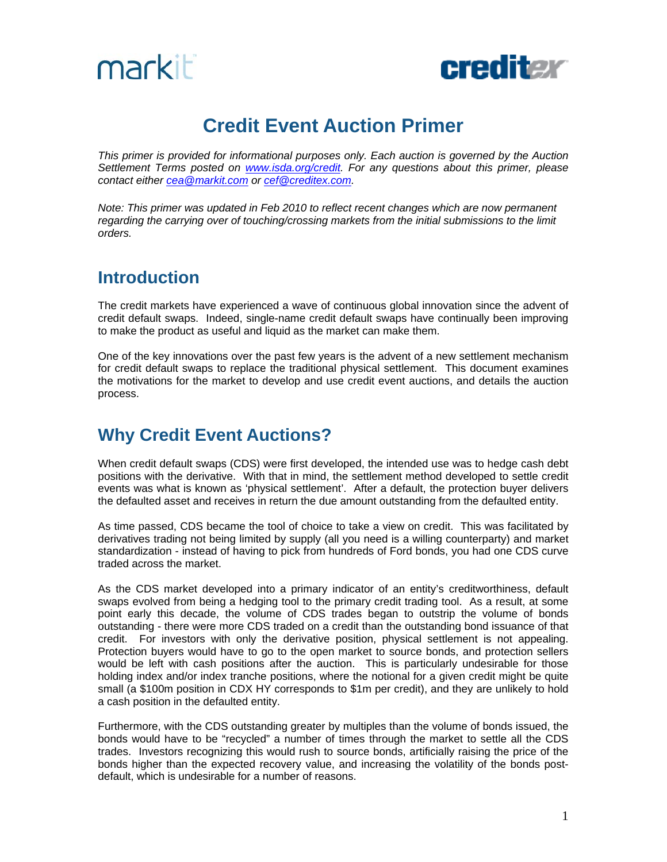



# **Credit Event Auction Primer**

*This primer is provided for informational purposes only. Each auction is governed by the Auction Settlement Terms posted on [www.isda.org/credit.](http://www.isda.org/credit) For any questions about this primer, please contact either [cea@markit.com](mailto:cea@markit.com) or [cef@creditex.com.](mailto:cef@creditex.com)*

*Note: This primer was updated in Feb 2010 to reflect recent changes which are now permanent regarding the carrying over of touching/crossing markets from the initial submissions to the limit orders.* 

# **Introduction**

The credit markets have experienced a wave of continuous global innovation since the advent of credit default swaps. Indeed, single-name credit default swaps have continually been improving to make the product as useful and liquid as the market can make them.

One of the key innovations over the past few years is the advent of a new settlement mechanism for credit default swaps to replace the traditional physical settlement. This document examines the motivations for the market to develop and use credit event auctions, and details the auction process.

# **Why Credit Event Auctions?**

When credit default swaps (CDS) were first developed, the intended use was to hedge cash debt positions with the derivative. With that in mind, the settlement method developed to settle credit events was what is known as 'physical settlement'. After a default, the protection buyer delivers the defaulted asset and receives in return the due amount outstanding from the defaulted entity.

As time passed, CDS became the tool of choice to take a view on credit. This was facilitated by derivatives trading not being limited by supply (all you need is a willing counterparty) and market standardization - instead of having to pick from hundreds of Ford bonds, you had one CDS curve traded across the market.

As the CDS market developed into a primary indicator of an entity's creditworthiness, default swaps evolved from being a hedging tool to the primary credit trading tool. As a result, at some point early this decade, the volume of CDS trades began to outstrip the volume of bonds outstanding - there were more CDS traded on a credit than the outstanding bond issuance of that credit. For investors with only the derivative position, physical settlement is not appealing. Protection buyers would have to go to the open market to source bonds, and protection sellers would be left with cash positions after the auction. This is particularly undesirable for those holding index and/or index tranche positions, where the notional for a given credit might be quite small (a \$100m position in CDX HY corresponds to \$1m per credit), and they are unlikely to hold a cash position in the defaulted entity.

Furthermore, with the CDS outstanding greater by multiples than the volume of bonds issued, the bonds would have to be "recycled" a number of times through the market to settle all the CDS trades. Investors recognizing this would rush to source bonds, artificially raising the price of the bonds higher than the expected recovery value, and increasing the volatility of the bonds postdefault, which is undesirable for a number of reasons.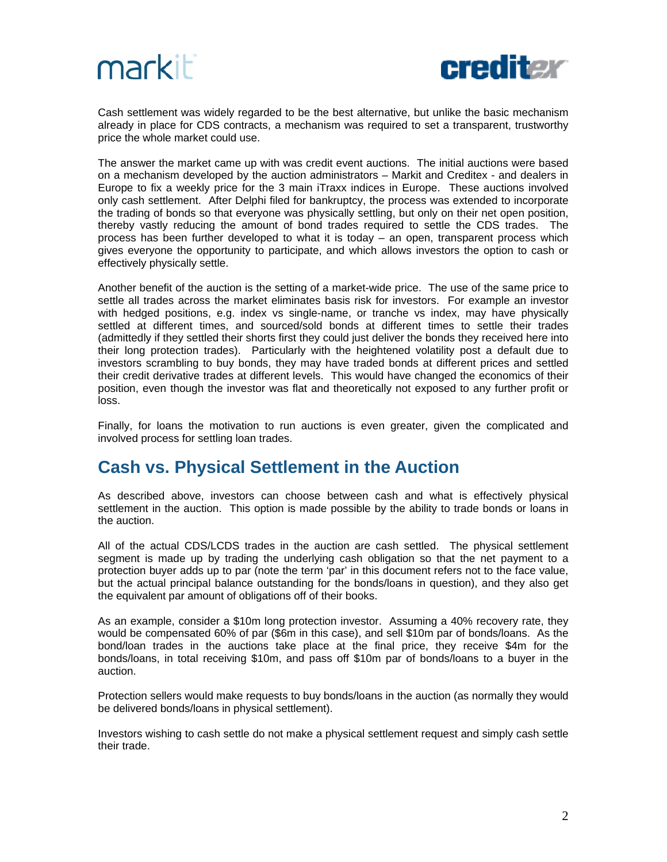



Cash settlement was widely regarded to be the best alternative, but unlike the basic mechanism already in place for CDS contracts, a mechanism was required to set a transparent, trustworthy price the whole market could use.

The answer the market came up with was credit event auctions. The initial auctions were based on a mechanism developed by the auction administrators – Markit and Creditex - and dealers in Europe to fix a weekly price for the 3 main iTraxx indices in Europe. These auctions involved only cash settlement. After Delphi filed for bankruptcy, the process was extended to incorporate the trading of bonds so that everyone was physically settling, but only on their net open position, thereby vastly reducing the amount of bond trades required to settle the CDS trades. The process has been further developed to what it is today – an open, transparent process which gives everyone the opportunity to participate, and which allows investors the option to cash or effectively physically settle.

Another benefit of the auction is the setting of a market-wide price. The use of the same price to settle all trades across the market eliminates basis risk for investors. For example an investor with hedged positions, e.g. index vs single-name, or tranche vs index, may have physically settled at different times, and sourced/sold bonds at different times to settle their trades (admittedly if they settled their shorts first they could just deliver the bonds they received here into their long protection trades). Particularly with the heightened volatility post a default due to investors scrambling to buy bonds, they may have traded bonds at different prices and settled their credit derivative trades at different levels. This would have changed the economics of their position, even though the investor was flat and theoretically not exposed to any further profit or loss.

Finally, for loans the motivation to run auctions is even greater, given the complicated and involved process for settling loan trades.

### **Cash vs. Physical Settlement in the Auction**

As described above, investors can choose between cash and what is effectively physical settlement in the auction. This option is made possible by the ability to trade bonds or loans in the auction.

All of the actual CDS/LCDS trades in the auction are cash settled. The physical settlement segment is made up by trading the underlying cash obligation so that the net payment to a protection buyer adds up to par (note the term 'par' in this document refers not to the face value, but the actual principal balance outstanding for the bonds/loans in question), and they also get the equivalent par amount of obligations off of their books.

As an example, consider a \$10m long protection investor. Assuming a 40% recovery rate, they would be compensated 60% of par (\$6m in this case), and sell \$10m par of bonds/loans. As the bond/loan trades in the auctions take place at the final price, they receive \$4m for the bonds/loans, in total receiving \$10m, and pass off \$10m par of bonds/loans to a buyer in the auction.

Protection sellers would make requests to buy bonds/loans in the auction (as normally they would be delivered bonds/loans in physical settlement).

Investors wishing to cash settle do not make a physical settlement request and simply cash settle their trade.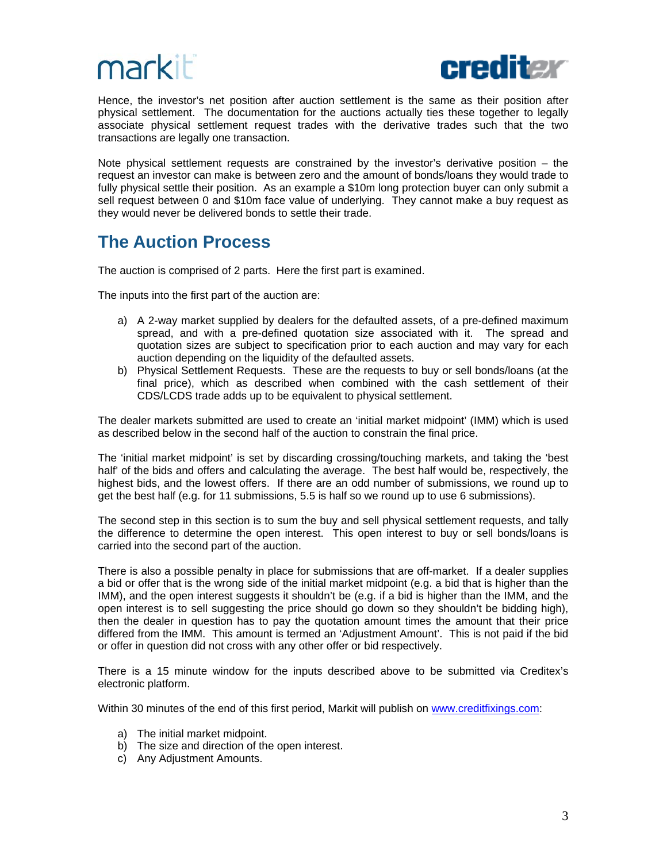



Hence, the investor's net position after auction settlement is the same as their position after physical settlement. The documentation for the auctions actually ties these together to legally associate physical settlement request trades with the derivative trades such that the two transactions are legally one transaction.

Note physical settlement requests are constrained by the investor's derivative position – the request an investor can make is between zero and the amount of bonds/loans they would trade to fully physical settle their position. As an example a \$10m long protection buyer can only submit a sell request between 0 and \$10m face value of underlying. They cannot make a buy request as they would never be delivered bonds to settle their trade.

# **The Auction Process**

The auction is comprised of 2 parts. Here the first part is examined.

The inputs into the first part of the auction are:

- a) A 2-way market supplied by dealers for the defaulted assets, of a pre-defined maximum spread, and with a pre-defined quotation size associated with it. The spread and quotation sizes are subject to specification prior to each auction and may vary for each auction depending on the liquidity of the defaulted assets.
- b) Physical Settlement Requests. These are the requests to buy or sell bonds/loans (at the final price), which as described when combined with the cash settlement of their CDS/LCDS trade adds up to be equivalent to physical settlement.

The dealer markets submitted are used to create an 'initial market midpoint' (IMM) which is used as described below in the second half of the auction to constrain the final price.

The 'initial market midpoint' is set by discarding crossing/touching markets, and taking the 'best half' of the bids and offers and calculating the average. The best half would be, respectively, the highest bids, and the lowest offers. If there are an odd number of submissions, we round up to get the best half (e.g. for 11 submissions, 5.5 is half so we round up to use 6 submissions).

The second step in this section is to sum the buy and sell physical settlement requests, and tally the difference to determine the open interest. This open interest to buy or sell bonds/loans is carried into the second part of the auction.

There is also a possible penalty in place for submissions that are off-market. If a dealer supplies a bid or offer that is the wrong side of the initial market midpoint (e.g. a bid that is higher than the IMM), and the open interest suggests it shouldn't be (e.g. if a bid is higher than the IMM, and the open interest is to sell suggesting the price should go down so they shouldn't be bidding high), then the dealer in question has to pay the quotation amount times the amount that their price differed from the IMM. This amount is termed an 'Adjustment Amount'. This is not paid if the bid or offer in question did not cross with any other offer or bid respectively.

There is a 15 minute window for the inputs described above to be submitted via Creditex's electronic platform.

Within 30 minutes of the end of this first period, Markit will publish on [www.creditfixings.com](http://www.creditfixings.com/):

- a) The initial market midpoint.
- b) The size and direction of the open interest.
- c) Any Adjustment Amounts.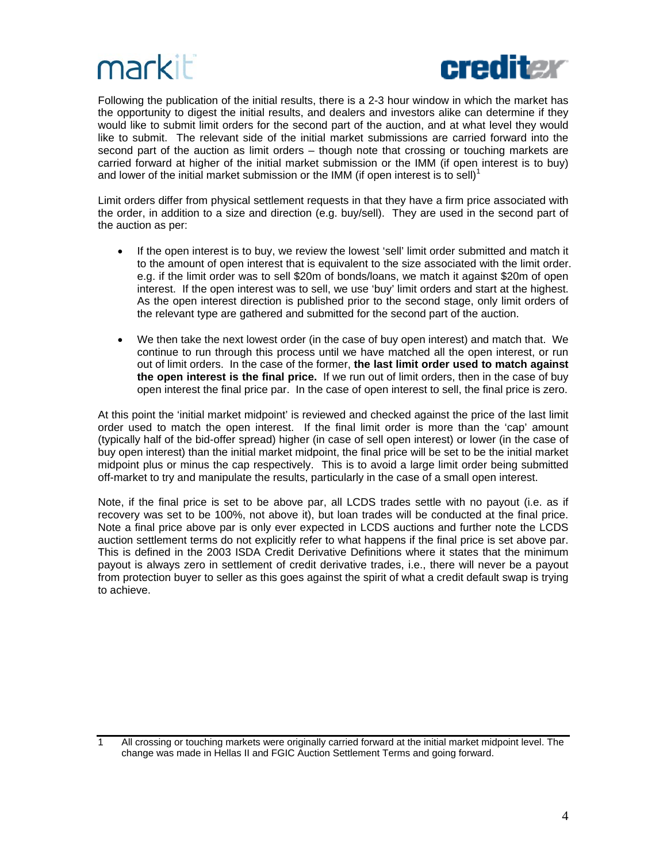

Following the publication of the initial results, there is a 2-3 hour window in which the market has the opportunity to digest the initial results, and dealers and investors alike can determine if they would like to submit limit orders for the second part of the auction, and at what level they would like to submit. The relevant side of the initial market submissions are carried forward into the second part of the auction as limit orders – though note that crossing or touching markets are carried forward at higher of the initial market submission or the IMM (if open interest is to buy) and lower of the initial market submission or the IMM (if open interest is to sell)<sup>1</sup>

Limit orders differ from physical settlement requests in that they have a firm price associated with the order, in addition to a size and direction (e.g. buy/sell). They are used in the second part of the auction as per:

- If the open interest is to buy, we review the lowest 'sell' limit order submitted and match it to the amount of open interest that is equivalent to the size associated with the limit order. e.g. if the limit order was to sell \$20m of bonds/loans, we match it against \$20m of open interest. If the open interest was to sell, we use 'buy' limit orders and start at the highest. As the open interest direction is published prior to the second stage, only limit orders of the relevant type are gathered and submitted for the second part of the auction.
- We then take the next lowest order (in the case of buy open interest) and match that. We continue to run through this process until we have matched all the open interest, or run out of limit orders. In the case of the former, **the last limit order used to match against the open interest is the final price.** If we run out of limit orders, then in the case of buy open interest the final price par. In the case of open interest to sell, the final price is zero.

At this point the 'initial market midpoint' is reviewed and checked against the price of the last limit order used to match the open interest. If the final limit order is more than the 'cap' amount (typically half of the bid-offer spread) higher (in case of sell open interest) or lower (in the case of buy open interest) than the initial market midpoint, the final price will be set to be the initial market midpoint plus or minus the cap respectively. This is to avoid a large limit order being submitted off-market to try and manipulate the results, particularly in the case of a small open interest.

Note, if the final price is set to be above par, all LCDS trades settle with no payout (i.e. as if recovery was set to be 100%, not above it), but loan trades will be conducted at the final price. Note a final price above par is only ever expected in LCDS auctions and further note the LCDS auction settlement terms do not explicitly refer to what happens if the final price is set above par. This is defined in the 2003 ISDA Credit Derivative Definitions where it states that the minimum payout is always zero in settlement of credit derivative trades, i.e., there will never be a payout from protection buyer to seller as this goes against the spirit of what a credit default swap is trying to achieve.

<sup>1</sup> All crossing or touching markets were originally carried forward at the initial market midpoint level. The change was made in Hellas II and FGIC Auction Settlement Terms and going forward.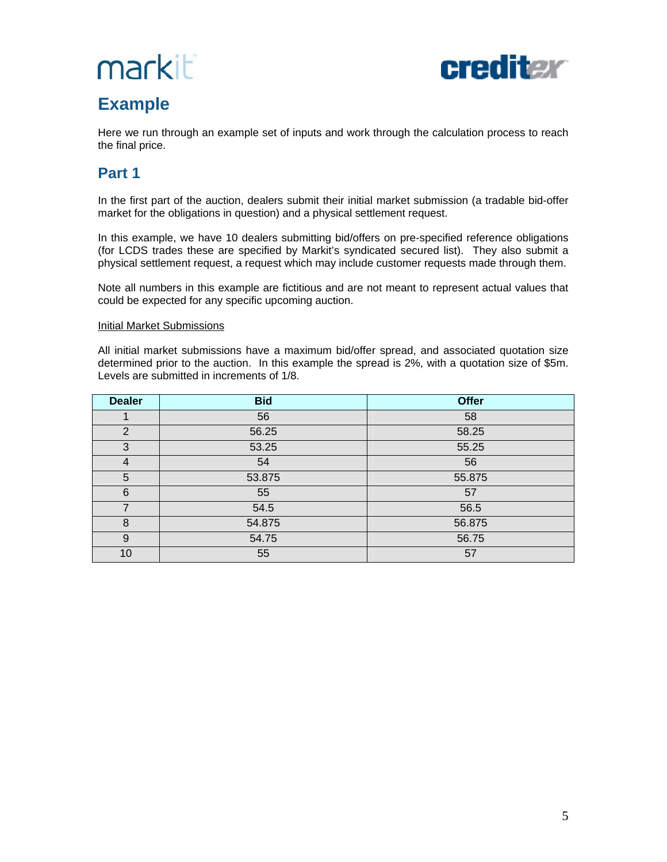# markit



# **Example**

Here we run through an example set of inputs and work through the calculation process to reach the final price.

## **Part 1**

In the first part of the auction, dealers submit their initial market submission (a tradable bid-offer market for the obligations in question) and a physical settlement request.

In this example, we have 10 dealers submitting bid/offers on pre-specified reference obligations (for LCDS trades these are specified by Markit's syndicated secured list). They also submit a physical settlement request, a request which may include customer requests made through them.

Note all numbers in this example are fictitious and are not meant to represent actual values that could be expected for any specific upcoming auction.

#### Initial Market Submissions

All initial market submissions have a maximum bid/offer spread, and associated quotation size determined prior to the auction. In this example the spread is 2%, with a quotation size of \$5m. Levels are submitted in increments of 1/8.

| <b>Dealer</b> | <b>Bid</b> | <b>Offer</b> |
|---------------|------------|--------------|
|               | 56         | 58           |
| 2             | 56.25      | 58.25        |
| 3             | 53.25      | 55.25        |
| 4             | 54         | 56           |
| 5             | 53.875     | 55.875       |
| 6             | 55         | 57           |
| 7             | 54.5       | 56.5         |
| 8             | 54.875     | 56.875       |
| 9             | 54.75      | 56.75        |
| 10            | 55         | 57           |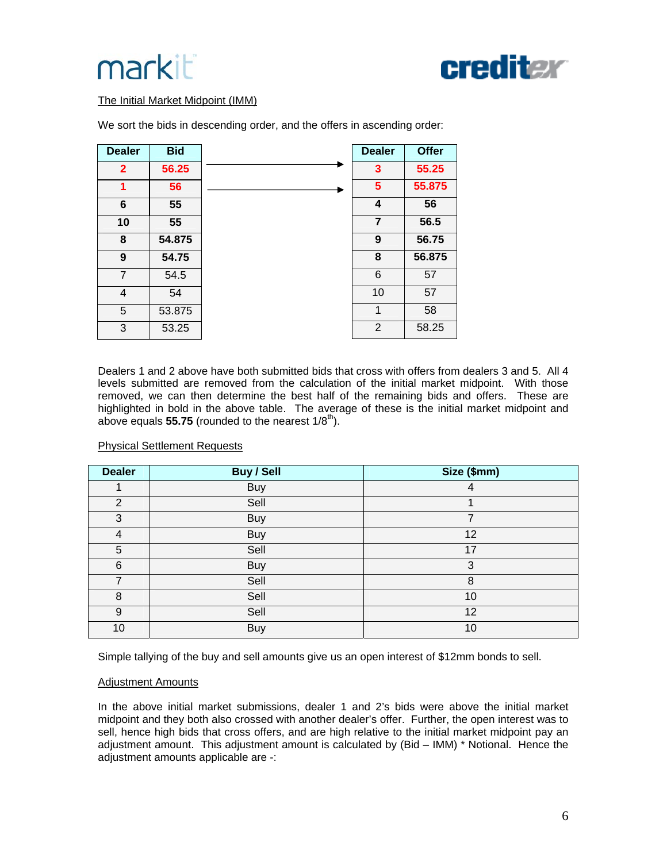



#### The Initial Market Midpoint (IMM)

| <b>Dealer</b>  | <b>Bid</b> | <b>Dealer</b>  | <b>Offer</b> |
|----------------|------------|----------------|--------------|
| $\overline{2}$ | 56.25      | 3              | 55.25        |
| 1              | 56         | 5              | 55.875       |
| 6              | 55         | 4              | 56           |
| 10             | 55         | $\overline{7}$ | 56.5         |
| 8              | 54.875     | 9              | 56.75        |
| 9              | 54.75      | 8              | 56.875       |
| $\overline{7}$ | 54.5       | 6              | 57           |
| 4              | 54         | 10             | 57           |
| 5              | 53.875     | 1              | 58           |
| 3              | 53.25      | $\overline{2}$ | 58.25        |

We sort the bids in descending order, and the offers in ascending order:

Dealers 1 and 2 above have both submitted bids that cross with offers from dealers 3 and 5. All 4 levels submitted are removed from the calculation of the initial market midpoint. With those removed, we can then determine the best half of the remaining bids and offers. These are highlighted in bold in the above table. The average of these is the initial market midpoint and above equals **55.75** (rounded to the nearest  $1/8^{th}$ ).

| <b>Dealer</b>  | <b>Buy / Sell</b> | Size (\$mm) |
|----------------|-------------------|-------------|
|                | Buy               | 4           |
| 2              | Sell              |             |
| 3              | <b>Buy</b>        | 7           |
| 4              | <b>Buy</b>        | 12          |
| 5              | Sell              | 17          |
| 6              | <b>Buy</b>        | 3           |
| $\overline{7}$ | Sell              | 8           |
| 8              | Sell              | 10          |
| 9              | Sell              | 12          |
| 10             | <b>Buy</b>        | 10          |

#### Physical Settlement Requests

Simple tallying of the buy and sell amounts give us an open interest of \$12mm bonds to sell.

#### Adjustment Amounts

In the above initial market submissions, dealer 1 and 2's bids were above the initial market midpoint and they both also crossed with another dealer's offer. Further, the open interest was to sell, hence high bids that cross offers, and are high relative to the initial market midpoint pay an adjustment amount. This adjustment amount is calculated by (Bid – IMM) \* Notional. Hence the adjustment amounts applicable are -: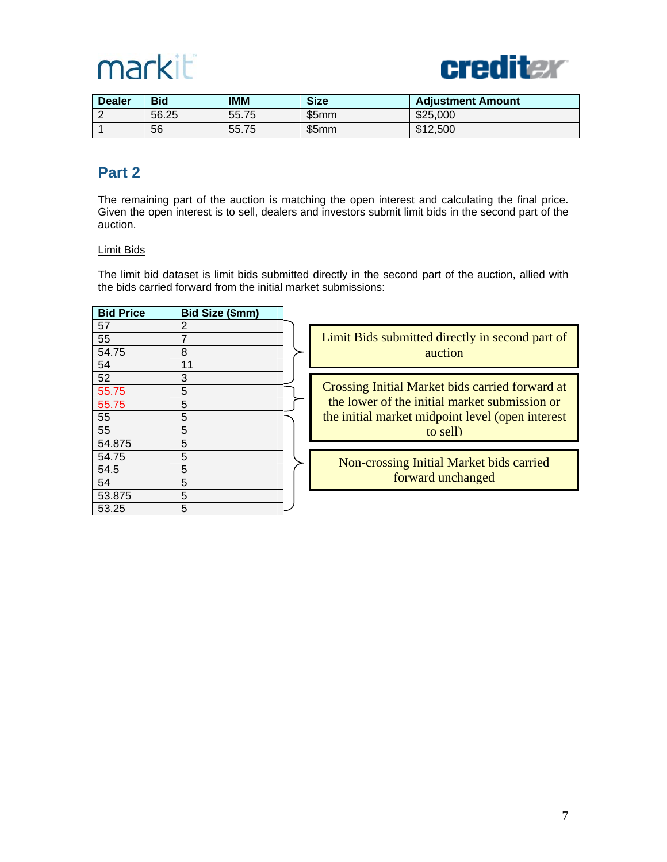



| <b>Dealer</b> | <b>Bid</b> | IMM   | <b>Size</b> | <b>Adjustment Amount</b> |
|---------------|------------|-------|-------------|--------------------------|
| <u>_</u>      | 56.25      | 55.75 | \$5mm       | \$25,000                 |
|               | 56         | 55.75 | \$5mm       | \$12,500                 |

#### **Part 2**

The remaining part of the auction is matching the open interest and calculating the final price. Given the open interest is to sell, dealers and investors submit limit bids in the second part of the auction.

#### Limit Bids

The limit bid dataset is limit bids submitted directly in the second part of the auction, allied with the bids carried forward from the initial market submissions:

| <b>Bid Price</b> | Bid Size (\$mm) |                                                  |
|------------------|-----------------|--------------------------------------------------|
| 57               | 2               |                                                  |
| 55               | 7               | Limit Bids submitted directly in second part of  |
| 54.75            | 8               | auction                                          |
| 54               | 11              |                                                  |
| 52               | 3               |                                                  |
| 55.75            | 5               | Crossing Initial Market bids carried forward at  |
| 55.75            | 5               | the lower of the initial market submission or    |
| 55               | 5               | the initial market midpoint level (open interest |
| 55               | 5               | to sell)                                         |
| 54.875           | 5               |                                                  |
| 54.75            | 5               | Non-crossing Initial Market bids carried         |
| 54.5             | 5               |                                                  |
| 54               | 5               | forward unchanged                                |
| 53.875           | 5               |                                                  |
| 53.25            | 5               |                                                  |